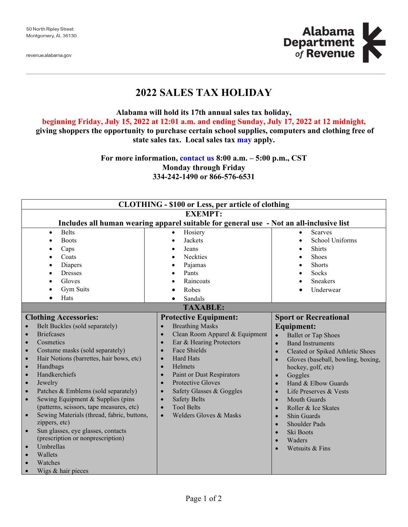revenue.alabama.gov



# **2022 SALES TAX HOLIDAY**

**Alabama will hold its 17th annual sales tax holiday,**

**beginning Friday, July 15, 2022 at 12:01 a.m. and ending Sunday, July 17, 2022 at 12 midnight,**

**giving shoppers the opportunity to purchase certain school supplies, computers and clothing free of state sales tax. Local sales tax [may](http://revenue.alabama.gov/salestax/STholiday.cfm) apply.**

> **For more information, [contact us](https://revenue.alabama.gov/contact/) 8:00 a.m. – 5:00 p.m., CST Monday through Friday 334-242-1490 or 866-576-6531**

| <b>CLOTHING - \$100 or Less, per article of clothing</b>                                                                                                                                                                                                                                                                                                                                                                                                                                                                                                                                                                                                                |                                                                                                                                                                                                                                                                                                                                                                                                                                                           |                                                                                                                                                                                                                                                                                                                                                                                                                                                                                                                                                                                |  |  |  |  |  |  |
|-------------------------------------------------------------------------------------------------------------------------------------------------------------------------------------------------------------------------------------------------------------------------------------------------------------------------------------------------------------------------------------------------------------------------------------------------------------------------------------------------------------------------------------------------------------------------------------------------------------------------------------------------------------------------|-----------------------------------------------------------------------------------------------------------------------------------------------------------------------------------------------------------------------------------------------------------------------------------------------------------------------------------------------------------------------------------------------------------------------------------------------------------|--------------------------------------------------------------------------------------------------------------------------------------------------------------------------------------------------------------------------------------------------------------------------------------------------------------------------------------------------------------------------------------------------------------------------------------------------------------------------------------------------------------------------------------------------------------------------------|--|--|--|--|--|--|
| <b>EXEMPT:</b>                                                                                                                                                                                                                                                                                                                                                                                                                                                                                                                                                                                                                                                          |                                                                                                                                                                                                                                                                                                                                                                                                                                                           |                                                                                                                                                                                                                                                                                                                                                                                                                                                                                                                                                                                |  |  |  |  |  |  |
| Includes all human wearing apparel suitable for general use - Not an all-inclusive list                                                                                                                                                                                                                                                                                                                                                                                                                                                                                                                                                                                 |                                                                                                                                                                                                                                                                                                                                                                                                                                                           |                                                                                                                                                                                                                                                                                                                                                                                                                                                                                                                                                                                |  |  |  |  |  |  |
| <b>Belts</b><br>$\bullet$<br><b>Boots</b><br>Caps<br>Coats<br>Diapers<br><b>Dresses</b><br>Gloves<br>Gym Suits                                                                                                                                                                                                                                                                                                                                                                                                                                                                                                                                                          | Hosiery<br>$\bullet$<br>Jackets<br>$\bullet$<br>Jeans<br><b>Neckties</b><br>Pajamas<br>Pants<br>Raincoats<br>Robes                                                                                                                                                                                                                                                                                                                                        | <b>Scarves</b><br>$\bullet$<br><b>School Uniforms</b><br>Shirts<br>Shoes<br>Shorts<br>Socks<br><b>Sneakers</b><br>Underwear                                                                                                                                                                                                                                                                                                                                                                                                                                                    |  |  |  |  |  |  |
| Hats<br>$\bullet$                                                                                                                                                                                                                                                                                                                                                                                                                                                                                                                                                                                                                                                       | Sandals<br>$\bullet$                                                                                                                                                                                                                                                                                                                                                                                                                                      |                                                                                                                                                                                                                                                                                                                                                                                                                                                                                                                                                                                |  |  |  |  |  |  |
| <b>TAXABLE:</b>                                                                                                                                                                                                                                                                                                                                                                                                                                                                                                                                                                                                                                                         |                                                                                                                                                                                                                                                                                                                                                                                                                                                           |                                                                                                                                                                                                                                                                                                                                                                                                                                                                                                                                                                                |  |  |  |  |  |  |
| <b>Clothing Accessories:</b><br>Belt Buckles (sold separately)<br><b>Briefcases</b><br>Cosmetics<br>$\bullet$<br>Costume masks (sold separately)<br>$\bullet$<br>Hair Notions (barrettes, hair bows, etc)<br>$\bullet$<br>Handbags<br>$\bullet$<br>Handkerchiefs<br>$\bullet$<br>Jewelry<br>$\bullet$<br>Patches & Emblems (sold separately)<br>$\bullet$<br>Sewing Equipment & Supplies (pins<br>$\bullet$<br>(patterns, scissors, tape measures, etc)<br>Sewing Materials (thread, fabric, buttons,<br>zippers, etc)<br>Sun glasses, eye glasses, contacts<br>(prescription or nonprescription)<br>Umbrellas<br>$\bullet$<br>Wallets<br>Watches<br>Wigs & hair pieces | <b>Protective Equipment:</b><br><b>Breathing Masks</b><br>$\bullet$<br>Clean Room Apparel & Equipment<br>Ear & Hearing Protectors<br>$\bullet$<br>Face Shields<br>$\bullet$<br><b>Hard Hats</b><br>$\bullet$<br>Helmets<br>$\bullet$<br>Paint or Dust Respirators<br>$\bullet$<br>Protective Gloves<br>$\bullet$<br>Safety Glasses & Goggles<br><b>Safety Belts</b><br>$\bullet$<br><b>Tool Belts</b><br>$\bullet$<br>Welders Gloves & Masks<br>$\bullet$ | <b>Sport or Recreational</b><br><b>Equipment:</b><br><b>Ballet or Tap Shoes</b><br>$\bullet$<br><b>Band Instruments</b><br>$\bullet$<br>Cleated or Spiked Athletic Shoes<br>$\bullet$<br>Gloves (baseball, bowling, boxing,<br>$\bullet$<br>hockey, golf, etc)<br>Goggles<br>$\bullet$<br>Hand & Elbow Guards<br>$\bullet$<br>Life Preserves & Vests<br>$\bullet$<br><b>Mouth Guards</b><br>$\bullet$<br>Roller & Ice Skates<br>$\bullet$<br>Shin Guards<br>$\bullet$<br><b>Shoulder Pads</b><br>$\bullet$<br>Ski Boots<br>$\bullet$<br>Waders<br>$\bullet$<br>Wetsuits & Fins |  |  |  |  |  |  |